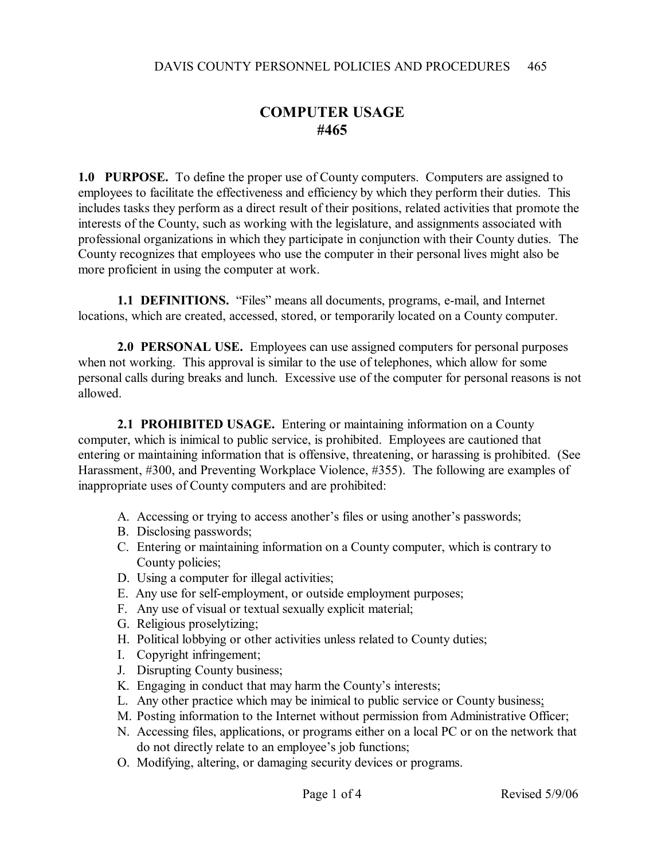## **COMPUTER USAGE #465**

**1.0 PURPOSE.** To define the proper use of County computers. Computers are assigned to employees to facilitate the effectiveness and efficiency by which they perform their duties. This includes tasks they perform as a direct result of their positions, related activities that promote the interests of the County, such as working with the legislature, and assignments associated with professional organizations in which they participate in conjunction with their County duties. The County recognizes that employees who use the computer in their personal lives might also be more proficient in using the computer at work.

**1.1 DEFINITIONS.** "Files" means all documents, programs, e-mail, and Internet locations, which are created, accessed, stored, or temporarily located on a County computer.

**2.0 PERSONAL USE.** Employees can use assigned computers for personal purposes when not working. This approval is similar to the use of telephones, which allow for some personal calls during breaks and lunch. Excessive use of the computer for personal reasons is not allowed.

**2.1 PROHIBITED USAGE.** Entering or maintaining information on a County computer, which is inimical to public service, is prohibited. Employees are cautioned that entering or maintaining information that is offensive, threatening, or harassing is prohibited. (See Harassment, #300, and Preventing Workplace Violence, #355). The following are examples of inappropriate uses of County computers and are prohibited:

- A. Accessing or trying to access another's files or using another's passwords;
- B. Disclosing passwords;
- C. Entering or maintaining information on a County computer, which is contrary to County policies;
- D. Using a computer for illegal activities;
- E. Any use for self-employment, or outside employment purposes;
- F. Any use of visual or textual sexually explicit material;
- G. Religious proselytizing;
- H. Political lobbying or other activities unless related to County duties;
- I. Copyright infringement;
- J. Disrupting County business;
- K. Engaging in conduct that may harm the County's interests;
- L. Any other practice which may be inimical to public service or County business;
- M. Posting information to the Internet without permission from Administrative Officer;
- N. Accessing files, applications, or programs either on a local PC or on the network that do not directly relate to an employee's job functions;
- O. Modifying, altering, or damaging security devices or programs.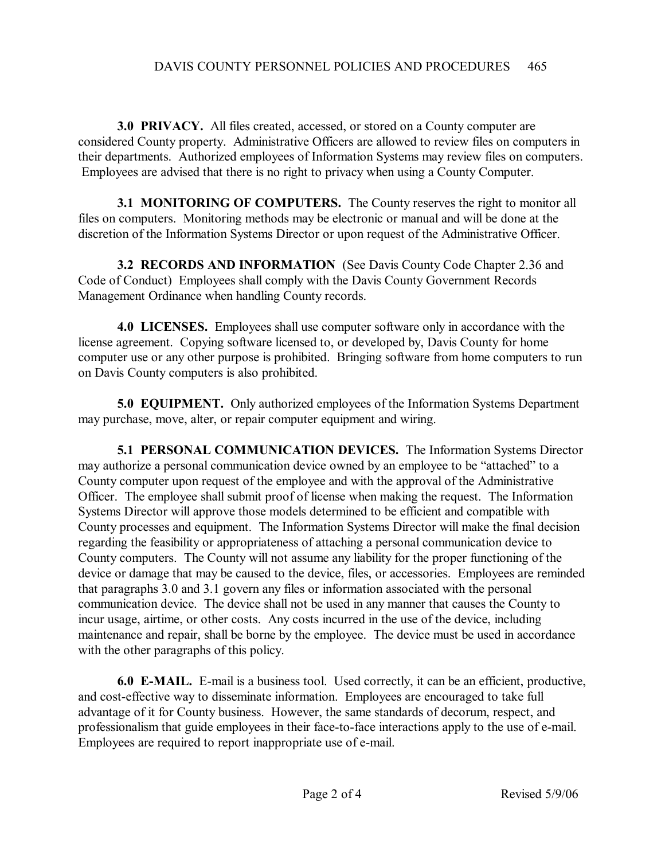**3.0 PRIVACY.** All files created, accessed, or stored on a County computer are considered County property. Administrative Officers are allowed to review files on computers in their departments. Authorized employees of Information Systems may review files on computers. Employees are advised that there is no right to privacy when using a County Computer.

**3.1 MONITORING OF COMPUTERS.** The County reserves the right to monitor all files on computers. Monitoring methods may be electronic or manual and will be done at the discretion of the Information Systems Director or upon request of the Administrative Officer.

**3.2 RECORDS AND INFORMATION** (See Davis County Code Chapter 2.36 and Code of Conduct) Employees shall comply with the Davis County Government Records Management Ordinance when handling County records.

**4.0 LICENSES.** Employees shall use computer software only in accordance with the license agreement. Copying software licensed to, or developed by, Davis County for home computer use or any other purpose is prohibited. Bringing software from home computers to run on Davis County computers is also prohibited.

**5.0 EQUIPMENT.** Only authorized employees of the Information Systems Department may purchase, move, alter, or repair computer equipment and wiring.

**5.1 PERSONAL COMMUNICATION DEVICES.** The Information Systems Director may authorize a personal communication device owned by an employee to be "attached" to a County computer upon request of the employee and with the approval of the Administrative Officer. The employee shall submit proof of license when making the request. The Information Systems Director will approve those models determined to be efficient and compatible with County processes and equipment. The Information Systems Director will make the final decision regarding the feasibility or appropriateness of attaching a personal communication device to County computers. The County will not assume any liability for the proper functioning of the device or damage that may be caused to the device, files, or accessories. Employees are reminded that paragraphs 3.0 and 3.1 govern any files or information associated with the personal communication device. The device shall not be used in any manner that causes the County to incur usage, airtime, or other costs. Any costs incurred in the use of the device, including maintenance and repair, shall be borne by the employee. The device must be used in accordance with the other paragraphs of this policy.

**6.0 E-MAIL.** E-mail is a business tool. Used correctly, it can be an efficient, productive, and cost-effective way to disseminate information. Employees are encouraged to take full advantage of it for County business. However, the same standards of decorum, respect, and professionalism that guide employees in their face-to-face interactions apply to the use of e-mail. Employees are required to report inappropriate use of e-mail.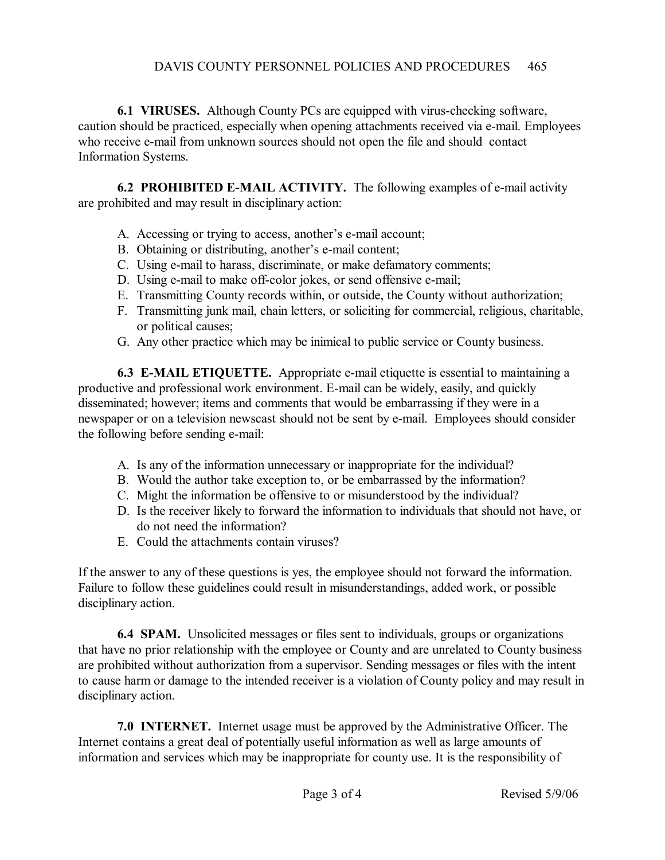## DAVIS COUNTY PERSONNEL POLICIES AND PROCEDURES 465

**6.1 VIRUSES.** Although County PCs are equipped with virus-checking software, caution should be practiced, especially when opening attachments received via e-mail. Employees who receive e-mail from unknown sources should not open the file and should contact Information Systems.

**6.2 PROHIBITED E-MAIL ACTIVITY.** The following examples of e-mail activity are prohibited and may result in disciplinary action:

- A. Accessing or trying to access, another's e-mail account;
- B. Obtaining or distributing, another's e-mail content;
- C. Using e-mail to harass, discriminate, or make defamatory comments;
- D. Using e-mail to make off-color jokes, or send offensive e-mail;
- E. Transmitting County records within, or outside, the County without authorization;
- F. Transmitting junk mail, chain letters, or soliciting for commercial, religious, charitable, or political causes;
- G. Any other practice which may be inimical to public service or County business.

**6.3 E-MAIL ETIQUETTE.** Appropriate e-mail etiquette is essential to maintaining a productive and professional work environment. E-mail can be widely, easily, and quickly disseminated; however; items and comments that would be embarrassing if they were in a newspaper or on a television newscast should not be sent by e-mail. Employees should consider the following before sending e-mail:

- A. Is any of the information unnecessary or inappropriate for the individual?
- B. Would the author take exception to, or be embarrassed by the information?
- C. Might the information be offensive to or misunderstood by the individual?
- D. Is the receiver likely to forward the information to individuals that should not have, or do not need the information?
- E. Could the attachments contain viruses?

If the answer to any of these questions is yes, the employee should not forward the information. Failure to follow these guidelines could result in misunderstandings, added work, or possible disciplinary action.

**6.4 SPAM.** Unsolicited messages or files sent to individuals, groups or organizations that have no prior relationship with the employee or County and are unrelated to County business are prohibited without authorization from a supervisor. Sending messages or files with the intent to cause harm or damage to the intended receiver is a violation of County policy and may result in disciplinary action.

**7.0 INTERNET.** Internet usage must be approved by the Administrative Officer. The Internet contains a great deal of potentially useful information as well as large amounts of information and services which may be inappropriate for county use. It is the responsibility of